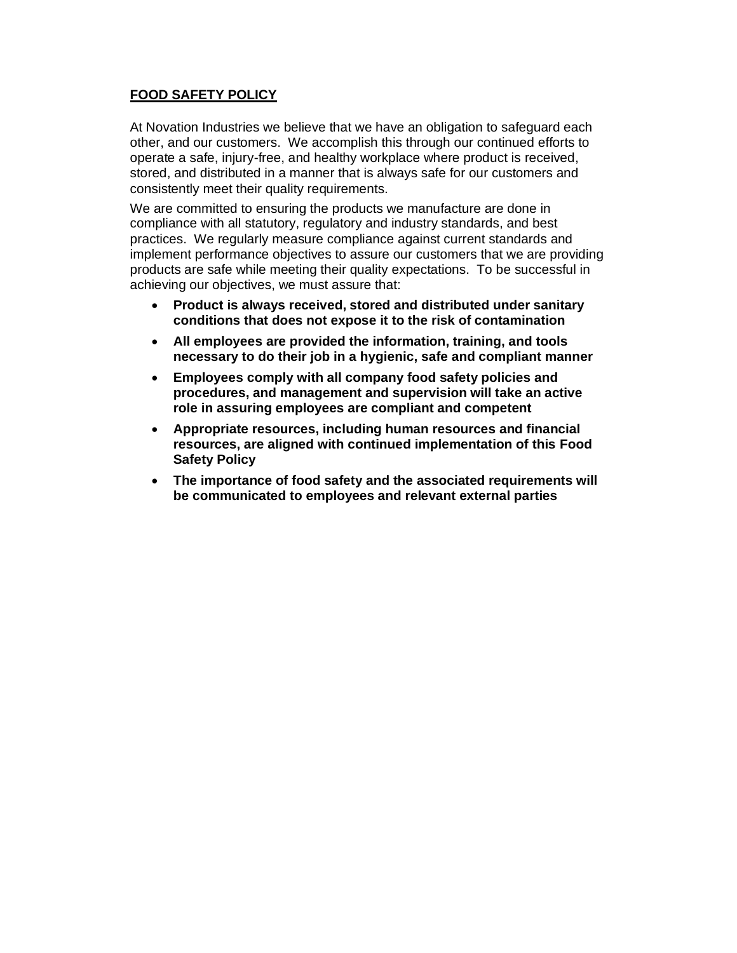## **FOOD SAFETY POLICY**

At Novation Industries we believe that we have an obligation to safeguard each other, and our customers. We accomplish this through our continued efforts to operate a safe, injury-free, and healthy workplace where product is received, stored, and distributed in a manner that is always safe for our customers and consistently meet their quality requirements.

We are committed to ensuring the products we manufacture are done in compliance with all statutory, regulatory and industry standards, and best practices. We regularly measure compliance against current standards and implement performance objectives to assure our customers that we are providing products are safe while meeting their quality expectations. To be successful in achieving our objectives, we must assure that:

- **Product is always received, stored and distributed under sanitary conditions that does not expose it to the risk of contamination**
- **All employees are provided the information, training, and tools necessary to do their job in a hygienic, safe and compliant manner**
- **Employees comply with all company food safety policies and procedures, and management and supervision will take an active role in assuring employees are compliant and competent**
- **Appropriate resources, including human resources and financial resources, are aligned with continued implementation of this Food Safety Policy**
- **The importance of food safety and the associated requirements will be communicated to employees and relevant external parties**